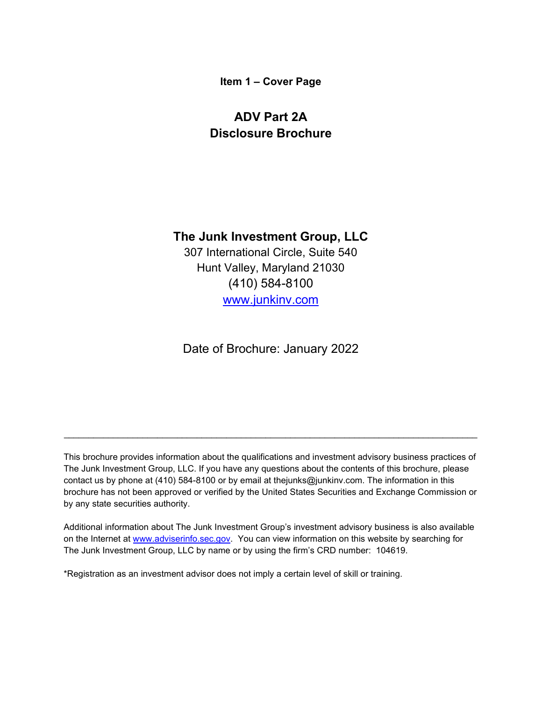**Item 1 – Cover Page**

# <span id="page-0-0"></span>**ADV Part 2A Disclosure Brochure**

# **The Junk Investment Group, LLC**

307 International Circle, Suite 540 Hunt Valley, Maryland 21030 (410) 584-8100 [www.junkinv.com](http://www.junkinv.com/)

Date of Brochure: January 2022

This brochure provides information about the qualifications and investment advisory business practices of The Junk Investment Group, LLC. If you have any questions about the contents of this brochure, please contact us by phone at (410) 584-8100 or by email at thejunks@junkinv.com. The information in this brochure has not been approved or verified by the United States Securities and Exchange Commission or by any state securities authority.

\_\_\_\_\_\_\_\_\_\_\_\_\_\_\_\_\_\_\_\_\_\_\_\_\_\_\_\_\_\_\_\_\_\_\_\_\_\_\_\_\_\_\_\_\_\_\_\_\_\_\_\_\_\_\_\_\_\_\_\_\_\_\_\_\_\_\_\_\_\_\_\_\_\_\_\_\_\_\_\_\_\_\_\_

Additional information about The Junk Investment Group's investment advisory business is also available on the Internet at [www.adviserinfo.sec.gov.](http://www.adviserinfo.sec.gov/) You can view information on this website by searching for The Junk Investment Group, LLC by name or by using the firm's CRD number: 104619.

\*Registration as an investment advisor does not imply a certain level of skill or training.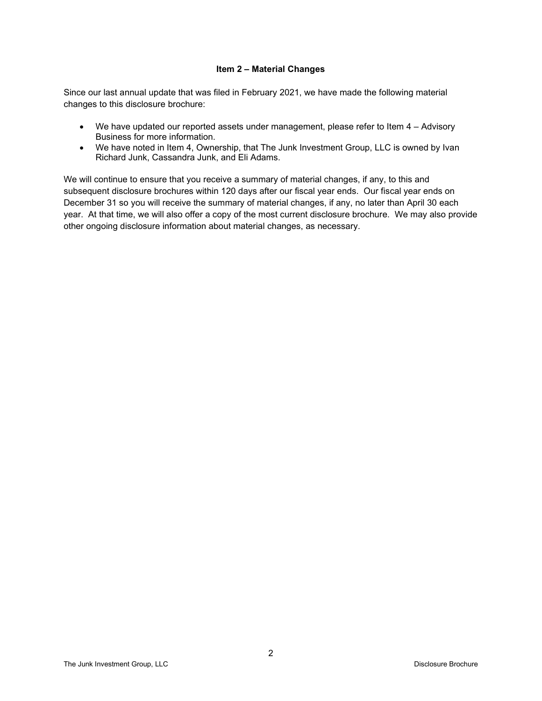#### **Item 2 – Material Changes**

<span id="page-1-0"></span>Since our last annual update that was filed in February 2021, we have made the following material changes to this disclosure brochure:

- We have updated our reported assets under management, please refer to Item 4 Advisory Business for more information.
- We have noted in Item 4, Ownership, that The Junk Investment Group, LLC is owned by Ivan Richard Junk, Cassandra Junk, and Eli Adams.

We will continue to ensure that you receive a summary of material changes, if any, to this and subsequent disclosure brochures within 120 days after our fiscal year ends. Our fiscal year ends on December 31 so you will receive the summary of material changes, if any, no later than April 30 each year. At that time, we will also offer a copy of the most current disclosure brochure. We may also provide other ongoing disclosure information about material changes, as necessary.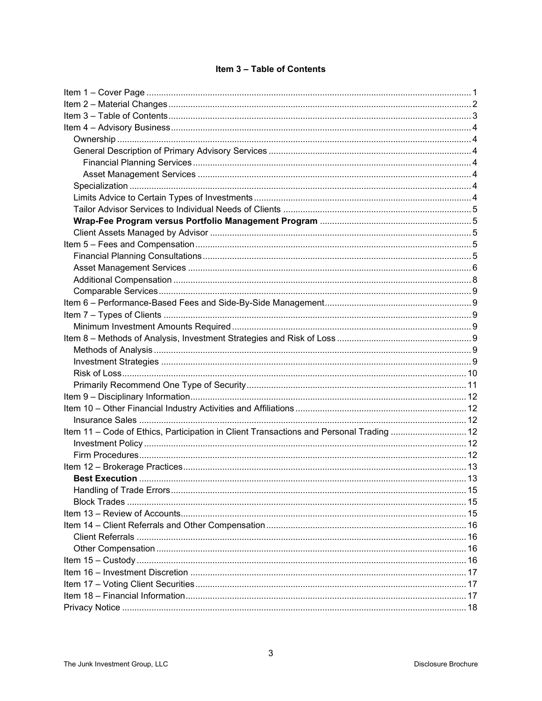| <b>Item 3 - Table of Contents</b> |  |  |  |  |  |
|-----------------------------------|--|--|--|--|--|
|-----------------------------------|--|--|--|--|--|

<span id="page-2-0"></span>

| Item 11 - Code of Ethics, Participation in Client Transactions and Personal Trading  12 |  |
|-----------------------------------------------------------------------------------------|--|
|                                                                                         |  |
|                                                                                         |  |
|                                                                                         |  |
|                                                                                         |  |
|                                                                                         |  |
|                                                                                         |  |
|                                                                                         |  |
|                                                                                         |  |
|                                                                                         |  |
|                                                                                         |  |
|                                                                                         |  |
|                                                                                         |  |
|                                                                                         |  |
|                                                                                         |  |
|                                                                                         |  |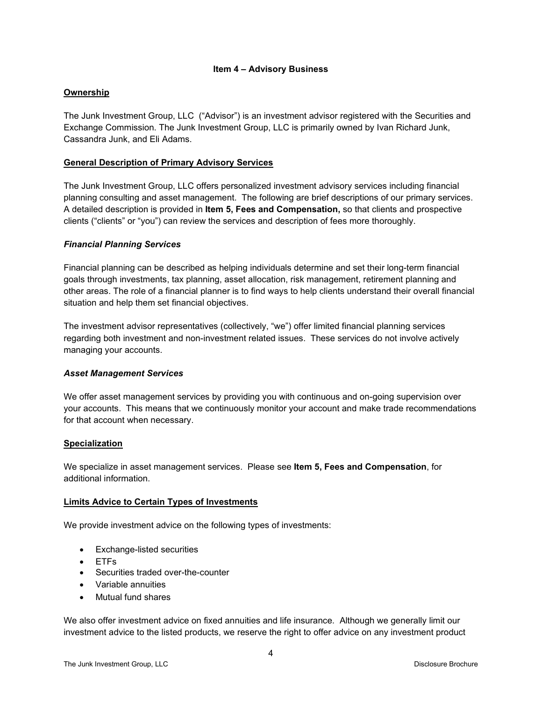#### **Item 4 – Advisory Business**

## <span id="page-3-1"></span><span id="page-3-0"></span>**Ownership**

The Junk Investment Group, LLC ("Advisor") is an investment advisor registered with the Securities and Exchange Commission. The Junk Investment Group, LLC is primarily owned by Ivan Richard Junk, Cassandra Junk, and Eli Adams.

# <span id="page-3-2"></span>**General Description of Primary Advisory Services**

The Junk Investment Group, LLC offers personalized investment advisory services including financial planning consulting and asset management. The following are brief descriptions of our primary services. A detailed description is provided in **Item 5, Fees and Compensation,** so that clients and prospective clients ("clients" or "you") can review the services and description of fees more thoroughly.

## <span id="page-3-3"></span>*Financial Planning Services*

Financial planning can be described as helping [individuals](http://www.businessdictionary.com/definition/individual.html) determine and set their [long-term](http://www.investorwords.com/2885/long_term.html) [financial](http://www.investorwords.com/5572/financial.html) [goals](http://www.investorwords.com/2187/goal.html) through [investments,](http://www.investorwords.com/2599/investment.html) [tax planning,](http://www.investorwords.com/4907/tax_planning.html) [asset allocation,](http://www.investorwords.com/275/asset_allocation.html) [risk management,](http://www.investorwords.com/4304/risk_management.html) [retirement planning](http://www.investorwords.com/6907/retirement_planning.html) and [other](http://www.investorwords.com/1752/estate_planning.html) areas. The [role](http://www.businessdictionary.com/definition/role.html) of a financial planner is to find ways to help clients understand their [overall](http://www.investorwords.com/3267/net_worth.html) financial situation and help them set financial [objectives.](http://www.investorwords.com/3372/objective.html)

The investment advisor representatives (collectively, "we") offer limited financial planning services regarding both investment and non-investment related issues. These services do not involve actively managing your accounts.

## <span id="page-3-4"></span>*Asset Management Services*

We offer asset management services by providing you with continuous and on-going supervision over your accounts. This means that we continuously monitor your account and make trade recommendations for that account when necessary.

## <span id="page-3-5"></span>**Specialization**

We specialize in asset management services. Please see **Item 5, Fees and Compensation**, for additional information.

#### <span id="page-3-6"></span>**Limits Advice to Certain Types of Investments**

We provide investment advice on the following types of investments:

- Exchange-listed securities
- ETFs
- Securities traded over-the-counter
- Variable annuities
- Mutual fund shares

We also offer investment advice on fixed annuities and life insurance. Although we generally limit our investment advice to the listed products, we reserve the right to offer advice on any investment product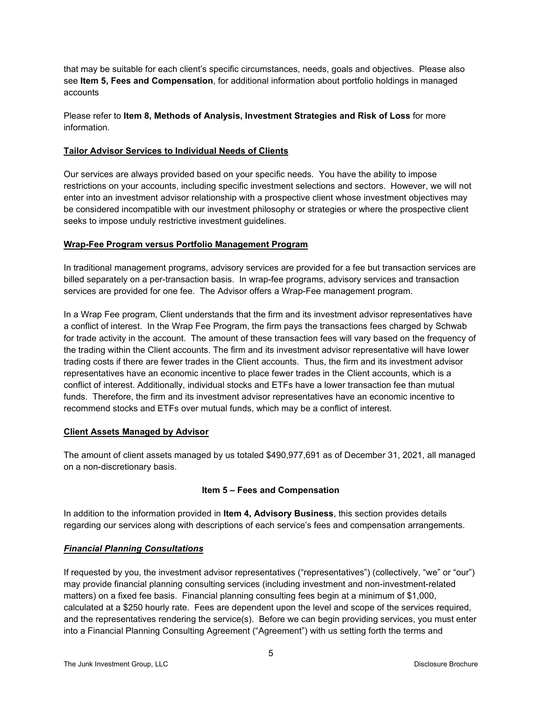that may be suitable for each client's specific circumstances, needs, goals and objectives. Please also see **Item 5, Fees and Compensation**, for additional information about portfolio holdings in managed accounts

Please refer to **Item 8, Methods of Analysis, Investment Strategies and Risk of Loss** for more information.

## <span id="page-4-0"></span>**Tailor Advisor Services to Individual Needs of Clients**

Our services are always provided based on your specific needs. You have the ability to impose restrictions on your accounts, including specific investment selections and sectors. However, we will not enter into an investment advisor relationship with a prospective client whose investment objectives may be considered incompatible with our investment philosophy or strategies or where the prospective client seeks to impose unduly restrictive investment guidelines.

## <span id="page-4-1"></span>**Wrap-Fee Program versus Portfolio Management Program**

In traditional management programs, advisory services are provided for a fee but transaction services are billed separately on a per-transaction basis. In wrap-fee programs, advisory services and transaction services are provided for one fee. The Advisor offers a Wrap-Fee management program.

In a Wrap Fee program, Client understands that the firm and its investment advisor representatives have a conflict of interest. In the Wrap Fee Program, the firm pays the transactions fees charged by Schwab for trade activity in the account. The amount of these transaction fees will vary based on the frequency of the trading within the Client accounts. The firm and its investment advisor representative will have lower trading costs if there are fewer trades in the Client accounts. Thus, the firm and its investment advisor representatives have an economic incentive to place fewer trades in the Client accounts, which is a conflict of interest. Additionally, individual stocks and ETFs have a lower transaction fee than mutual funds. Therefore, the firm and its investment advisor representatives have an economic incentive to recommend stocks and ETFs over mutual funds, which may be a conflict of interest.

## <span id="page-4-2"></span>**Client Assets Managed by Advisor**

The amount of client assets managed by us totaled \$490,977,691 as of December 31, 2021, all managed on a non-discretionary basis.

## **Item 5 – Fees and Compensation**

<span id="page-4-3"></span>In addition to the information provided in **Item 4, Advisory Business**, this section provides details regarding our services along with descriptions of each service's fees and compensation arrangements.

# <span id="page-4-4"></span>*Financial Planning Consultations*

If requested by you, the investment advisor representatives ("representatives") (collectively, "we" or "our") may provide financial planning consulting services (including investment and non-investment-related matters) on a fixed fee basis. Financial planning consulting fees begin at a minimum of \$1,000, calculated at a \$250 hourly rate. Fees are dependent upon the level and scope of the services required, and the representatives rendering the service(s). Before we can begin providing services, you must enter into a Financial Planning Consulting Agreement ("Agreement") with us setting forth the terms and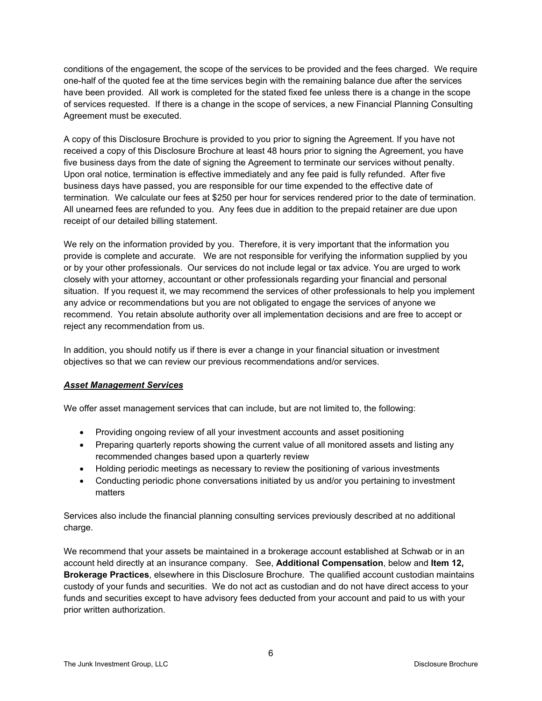conditions of the engagement, the scope of the services to be provided and the fees charged. We require one-half of the quoted fee at the time services begin with the remaining balance due after the services have been provided. All work is completed for the stated fixed fee unless there is a change in the scope of services requested. If there is a change in the scope of services, a new Financial Planning Consulting Agreement must be executed.

A copy of this Disclosure Brochure is provided to you prior to signing the Agreement. If you have not received a copy of this Disclosure Brochure at least 48 hours prior to signing the Agreement, you have five business days from the date of signing the Agreement to terminate our services without penalty. Upon oral notice, termination is effective immediately and any fee paid is fully refunded. After five business days have passed, you are responsible for our time expended to the effective date of termination. We calculate our fees at \$250 per hour for services rendered prior to the date of termination. All unearned fees are refunded to you. Any fees due in addition to the prepaid retainer are due upon receipt of our detailed billing statement.

We rely on the information provided by you. Therefore, it is very important that the information you provide is complete and accurate. We are not responsible for verifying the information supplied by you or by your other professionals. Our services do not include legal or tax advice. You are urged to work closely with your attorney, accountant or other professionals regarding your financial and personal situation. If you request it, we may recommend the services of other professionals to help you implement any advice or recommendations but you are not obligated to engage the services of anyone we recommend. You retain absolute authority over all implementation decisions and are free to accept or reject any recommendation from us.

In addition, you should notify us if there is ever a change in your financial situation or investment objectives so that we can review our previous recommendations and/or services.

## <span id="page-5-0"></span>*Asset Management Services*

We offer asset management services that can include, but are not limited to, the following:

- Providing ongoing review of all your investment accounts and asset positioning
- Preparing quarterly reports showing the current value of all monitored assets and listing any recommended changes based upon a quarterly review
- Holding periodic meetings as necessary to review the positioning of various investments
- Conducting periodic phone conversations initiated by us and/or you pertaining to investment matters

Services also include the financial planning consulting services previously described at no additional charge.

We recommend that your assets be maintained in a brokerage account established at Schwab or in an account held directly at an insurance company. See, **Additional Compensation**, below and **Item 12, Brokerage Practices**, elsewhere in this Disclosure Brochure. The qualified account custodian maintains custody of your funds and securities. We do not act as custodian and do not have direct access to your funds and securities except to have advisory fees deducted from your account and paid to us with your prior written authorization.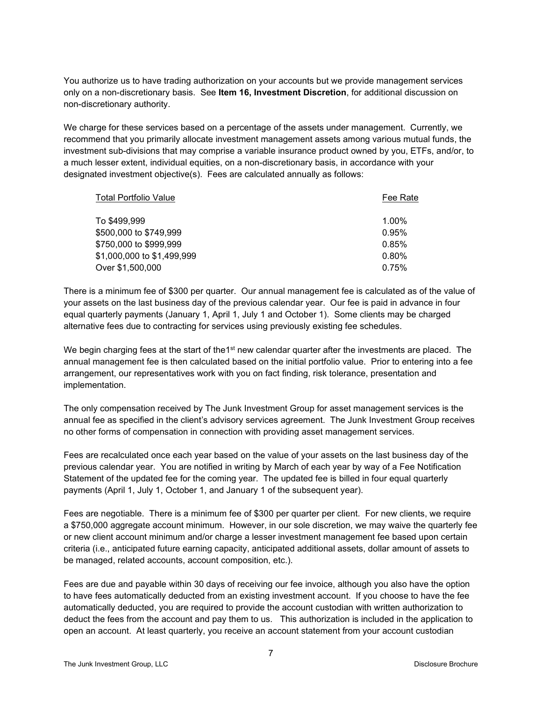You authorize us to have trading authorization on your accounts but we provide management services only on a non-discretionary basis. See **Item 16, Investment Discretion**, for additional discussion on non-discretionary authority.

We charge for these services based on a percentage of the assets under management. Currently, we recommend that you primarily allocate investment management assets among various mutual funds, the investment sub-divisions that may comprise a variable insurance product owned by you, ETFs, and/or, to a much lesser extent, individual equities, on a non-discretionary basis, in accordance with your designated investment objective(s). Fees are calculated annually as follows:

| <b>Total Portfolio Value</b> | Fee Rate |
|------------------------------|----------|
| To \$499,999                 | 1.00%    |
| \$500,000 to \$749,999       | 0.95%    |
| \$750,000 to \$999,999       | 0.85%    |
| \$1,000,000 to \$1,499,999   | $0.80\%$ |
| Over \$1,500,000             | 0.75%    |

There is a minimum fee of \$300 per quarter. Our annual management fee is calculated as of the value of your assets on the last business day of the previous calendar year. Our fee is paid in advance in four equal quarterly payments (January 1, April 1, July 1 and October 1). Some clients may be charged alternative fees due to contracting for services using previously existing fee schedules.

We begin charging fees at the start of the1 $st$  new calendar quarter after the investments are placed. The annual management fee is then calculated based on the initial portfolio value. Prior to entering into a fee arrangement, our representatives work with you on fact finding, risk tolerance, presentation and implementation.

The only compensation received by The Junk Investment Group for asset management services is the annual fee as specified in the client's advisory services agreement. The Junk Investment Group receives no other forms of compensation in connection with providing asset management services.

Fees are recalculated once each year based on the value of your assets on the last business day of the previous calendar year. You are notified in writing by March of each year by way of a Fee Notification Statement of the updated fee for the coming year. The updated fee is billed in four equal quarterly payments (April 1, July 1, October 1, and January 1 of the subsequent year).

Fees are negotiable. There is a minimum fee of \$300 per quarter per client. For new clients, we require a \$750,000 aggregate account minimum. However, in our sole discretion, we may waive the quarterly fee or new client account minimum and/or charge a lesser investment management fee based upon certain criteria (i.e., anticipated future earning capacity, anticipated additional assets, dollar amount of assets to be managed, related accounts, account composition, etc.).

Fees are due and payable within 30 days of receiving our fee invoice, although you also have the option to have fees automatically deducted from an existing investment account. If you choose to have the fee automatically deducted, you are required to provide the account custodian with written authorization to deduct the fees from the account and pay them to us. This authorization is included in the application to open an account. At least quarterly, you receive an account statement from your account custodian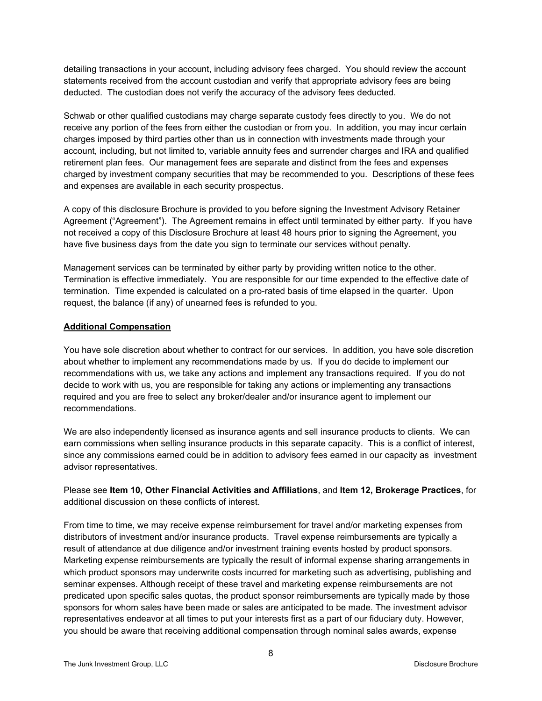detailing transactions in your account, including advisory fees charged. You should review the account statements received from the account custodian and verify that appropriate advisory fees are being deducted. The custodian does not verify the accuracy of the advisory fees deducted.

Schwab or other qualified custodians may charge separate custody fees directly to you. We do not receive any portion of the fees from either the custodian or from you. In addition, you may incur certain charges imposed by third parties other than us in connection with investments made through your account, including, but not limited to, variable annuity fees and surrender charges and IRA and qualified retirement plan fees. Our management fees are separate and distinct from the fees and expenses charged by investment company securities that may be recommended to you. Descriptions of these fees and expenses are available in each security prospectus.

A copy of this disclosure Brochure is provided to you before signing the Investment Advisory Retainer Agreement ("Agreement"). The Agreement remains in effect until terminated by either party. If you have not received a copy of this Disclosure Brochure at least 48 hours prior to signing the Agreement, you have five business days from the date you sign to terminate our services without penalty.

Management services can be terminated by either party by providing written notice to the other. Termination is effective immediately. You are responsible for our time expended to the effective date of termination. Time expended is calculated on a pro-rated basis of time elapsed in the quarter. Upon request, the balance (if any) of unearned fees is refunded to you.

## <span id="page-7-0"></span>**Additional Compensation**

You have sole discretion about whether to contract for our services. In addition, you have sole discretion about whether to implement any recommendations made by us. If you do decide to implement our recommendations with us, we take any actions and implement any transactions required. If you do not decide to work with us, you are responsible for taking any actions or implementing any transactions required and you are free to select any broker/dealer and/or insurance agent to implement our recommendations.

We are also independently licensed as insurance agents and sell insurance products to clients. We can earn commissions when selling insurance products in this separate capacity. This is a conflict of interest, since any commissions earned could be in addition to advisory fees earned in our capacity as investment advisor representatives.

Please see **Item 10, Other Financial Activities and Affiliations**, and **Item 12, Brokerage Practices**, for additional discussion on these conflicts of interest.

From time to time, we may receive expense reimbursement for travel and/or marketing expenses from distributors of investment and/or insurance products. Travel expense reimbursements are typically a result of attendance at due diligence and/or investment training events hosted by product sponsors. Marketing expense reimbursements are typically the result of informal expense sharing arrangements in which product sponsors may underwrite costs incurred for marketing such as advertising, publishing and seminar expenses. Although receipt of these travel and marketing expense reimbursements are not predicated upon specific sales quotas, the product sponsor reimbursements are typically made by those sponsors for whom sales have been made or sales are anticipated to be made. The investment advisor representatives endeavor at all times to put your interests first as a part of our fiduciary duty. However, you should be aware that receiving additional compensation through nominal sales awards, expense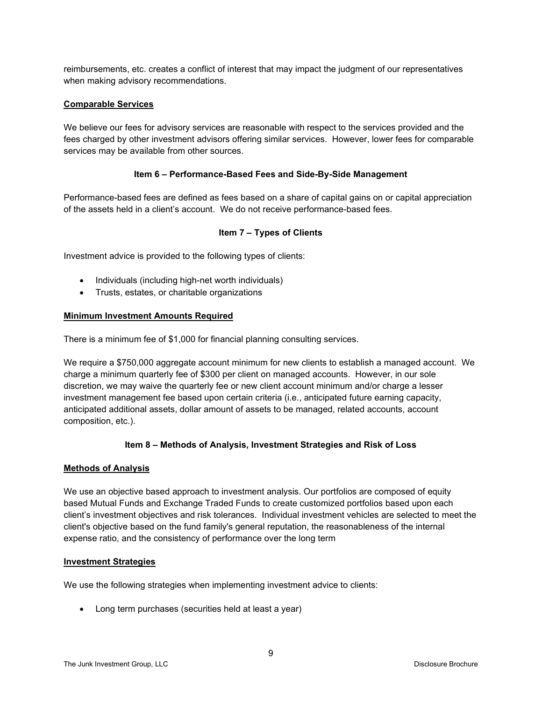reimbursements, etc. creates a conflict of interest that may impact the judgment of our representatives when making advisory recommendations.

#### <span id="page-8-0"></span>**Comparable Services**

We believe our fees for advisory services are reasonable with respect to the services provided and the fees charged by other investment advisors offering similar services. However, lower fees for comparable services may be available from other sources.

#### **Item 6 – Performance-Based Fees and Side-By-Side Management**

<span id="page-8-1"></span>Performance-based fees are defined as fees based on a share of capital gains on or capital appreciation of the assets held in a client's account. We do not receive performance-based fees.

#### **Item 7 – Types of Clients**

<span id="page-8-2"></span>Investment advice is provided to the following types of clients:

- Individuals (including high-net worth individuals)
- Trusts, estates, or charitable organizations

#### <span id="page-8-3"></span>**Minimum Investment Amounts Required**

There is a minimum fee of \$1,000 for financial planning consulting services.

We require a \$750,000 aggregate account minimum for new clients to establish a managed account. We charge a minimum quarterly fee of \$300 per client on managed accounts. However, in our sole discretion, we may waive the quarterly fee or new client account minimum and/or charge a lesser investment management fee based upon certain criteria (i.e., anticipated future earning capacity, anticipated additional assets, dollar amount of assets to be managed, related accounts, account composition, etc.).

## **Item 8 – Methods of Analysis, Investment Strategies and Risk of Loss**

#### <span id="page-8-5"></span><span id="page-8-4"></span>**Methods of Analysis**

We use an objective based approach to investment analysis. Our portfolios are composed of equity based Mutual Funds and Exchange Traded Funds to create customized portfolios based upon each client's investment objectives and risk tolerances. Individual investment vehicles are selected to meet the client's objective based on the fund family's general reputation, the reasonableness of the internal expense ratio, and the consistency of performance over the long term

#### <span id="page-8-6"></span>**Investment Strategies**

We use the following strategies when implementing investment advice to clients:

• Long term purchases (securities held at least a year)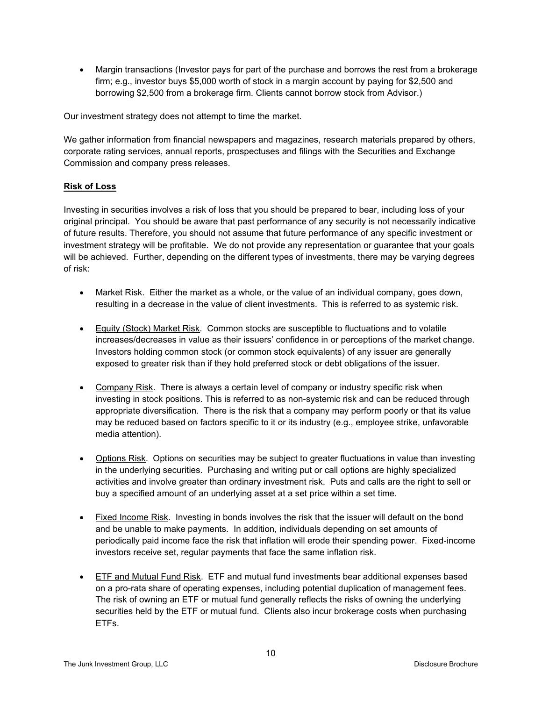• Margin transactions (Investor pays for part of the purchase and borrows the rest from a brokerage firm; e.g., investor buys \$5,000 worth of stock in a margin account by paying for \$2,500 and borrowing \$2,500 from a brokerage firm. Clients cannot borrow stock from Advisor.)

Our investment strategy does not attempt to time the market.

We gather information from financial newspapers and magazines, research materials prepared by others, corporate rating services, annual reports, prospectuses and filings with the Securities and Exchange Commission and company press releases.

## <span id="page-9-0"></span>**Risk of Loss**

Investing in securities involves a risk of loss that you should be prepared to bear, including loss of your original principal. You should be aware that past performance of any security is not necessarily indicative of future results. Therefore, you should not assume that future performance of any specific investment or investment strategy will be profitable. We do not provide any representation or guarantee that your goals will be achieved. Further, depending on the different types of investments, there may be varying degrees of risk:

- Market Risk. Either the market as a whole, or the value of an individual company, goes down, resulting in a decrease in the value of client investments. This is referred to as systemic risk.
- Equity (Stock) Market Risk. Common stocks are susceptible to fluctuations and to volatile increases/decreases in value as their issuers' confidence in or perceptions of the market change. Investors holding common stock (or common stock equivalents) of any issuer are generally exposed to greater risk than if they hold preferred stock or debt obligations of the issuer.
- Company Risk. There is always a certain level of company or industry specific risk when investing in stock positions. This is referred to as non-systemic risk and can be reduced through appropriate diversification. There is the risk that a company may perform poorly or that its value may be reduced based on factors specific to it or its industry (e.g., employee strike, unfavorable media attention).
- Options Risk. Options on securities may be subject to greater fluctuations in value than investing in the underlying securities. Purchasing and writing put or call options are highly specialized activities and involve greater than ordinary investment risk. Puts and calls are the right to sell or buy a specified amount of an underlying asset at a set price within a set time.
- Fixed Income Risk. Investing in bonds involves the risk that the issuer will default on the bond and be unable to make payments. In addition, individuals depending on set amounts of periodically paid income face the risk that inflation will erode their spending power. Fixed-income investors receive set, regular payments that face the same inflation risk.
- ETF and Mutual Fund Risk. ETF and mutual fund investments bear additional expenses based on a pro-rata share of operating expenses, including potential duplication of management fees. The risk of owning an ETF or mutual fund generally reflects the risks of owning the underlying securities held by the ETF or mutual fund. Clients also incur brokerage costs when purchasing ETFs.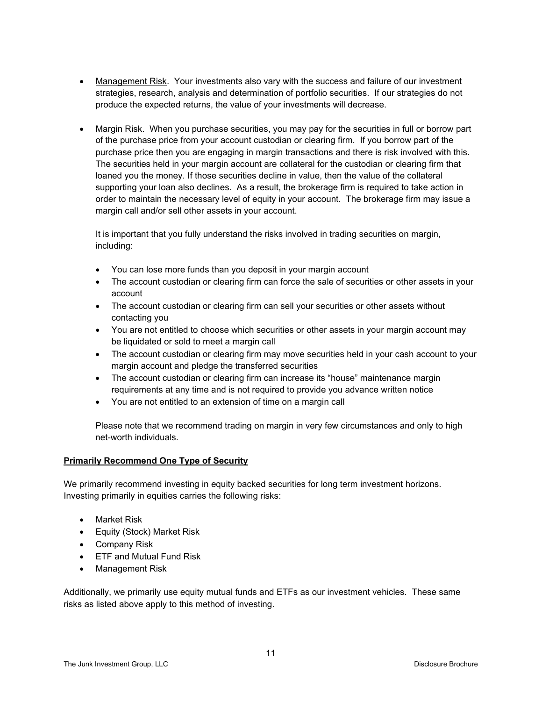- Management Risk. Your investments also vary with the success and failure of our investment strategies, research, analysis and determination of portfolio securities. If our strategies do not produce the expected returns, the value of your investments will decrease.
- Margin Risk. When you purchase securities, you may pay for the securities in full or borrow part of the purchase price from your account custodian or clearing firm. If you borrow part of the purchase price then you are engaging in margin transactions and there is risk involved with this. The securities held in your margin account are collateral for the custodian or clearing firm that loaned you the money. If those securities decline in value, then the value of the collateral supporting your loan also declines. As a result, the brokerage firm is required to take action in order to maintain the necessary level of equity in your account. The brokerage firm may issue a margin call and/or sell other assets in your account.

It is important that you fully understand the risks involved in trading securities on margin, including:

- You can lose more funds than you deposit in your margin account
- The account custodian or clearing firm can force the sale of securities or other assets in your account
- The account custodian or clearing firm can sell your securities or other assets without contacting you
- You are not entitled to choose which securities or other assets in your margin account may be liquidated or sold to meet a margin call
- The account custodian or clearing firm may move securities held in your cash account to your margin account and pledge the transferred securities
- The account custodian or clearing firm can increase its "house" maintenance margin requirements at any time and is not required to provide you advance written notice
- You are not entitled to an extension of time on a margin call

Please note that we recommend trading on margin in very few circumstances and only to high net-worth individuals.

#### <span id="page-10-0"></span>**Primarily Recommend One Type of Security**

We primarily recommend investing in equity backed securities for long term investment horizons. Investing primarily in equities carries the following risks:

- Market Risk
- Equity (Stock) Market Risk
- Company Risk
- ETF and Mutual Fund Risk
- Management Risk

Additionally, we primarily use equity mutual funds and ETFs as our investment vehicles. These same risks as listed above apply to this method of investing.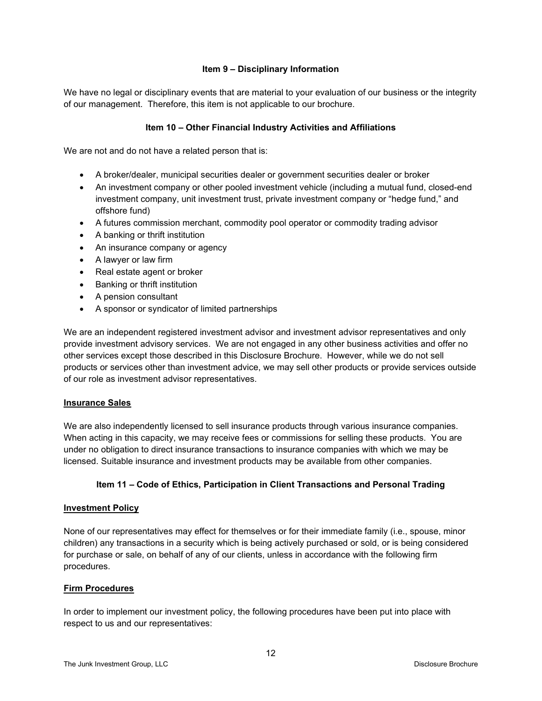## **Item 9 – Disciplinary Information**

<span id="page-11-0"></span>We have no legal or disciplinary events that are material to your evaluation of our business or the integrity of our management. Therefore, this item is not applicable to our brochure.

#### **Item 10 – Other Financial Industry Activities and Affiliations**

<span id="page-11-1"></span>We are not and do not have a related person that is:

- A broker/dealer, municipal securities dealer or government securities dealer or broker
- An investment company or other pooled investment vehicle (including a mutual fund, closed-end investment company, unit investment trust, private investment company or "hedge fund," and offshore fund)
- A futures commission merchant, commodity pool operator or commodity trading advisor
- A banking or thrift institution
- An insurance company or agency
- A lawyer or law firm
- Real estate agent or broker
- Banking or thrift institution
- A pension consultant
- A sponsor or syndicator of limited partnerships

We are an independent registered investment advisor and investment advisor representatives and only provide investment advisory services. We are not engaged in any other business activities and offer no other services except those described in this Disclosure Brochure. However, while we do not sell products or services other than investment advice, we may sell other products or provide services outside of our role as investment advisor representatives.

#### <span id="page-11-2"></span>**Insurance Sales**

We are also independently licensed to sell insurance products through various insurance companies. When acting in this capacity, we may receive fees or commissions for selling these products. You are under no obligation to direct insurance transactions to insurance companies with which we may be licensed. Suitable insurance and investment products may be available from other companies.

## **Item 11 – Code of Ethics, Participation in Client Transactions and Personal Trading**

#### <span id="page-11-4"></span><span id="page-11-3"></span>**Investment Policy**

None of our representatives may effect for themselves or for their immediate family (i.e., spouse, minor children) any transactions in a security which is being actively purchased or sold, or is being considered for purchase or sale, on behalf of any of our clients, unless in accordance with the following firm procedures.

#### <span id="page-11-5"></span>**Firm Procedures**

In order to implement our investment policy, the following procedures have been put into place with respect to us and our representatives: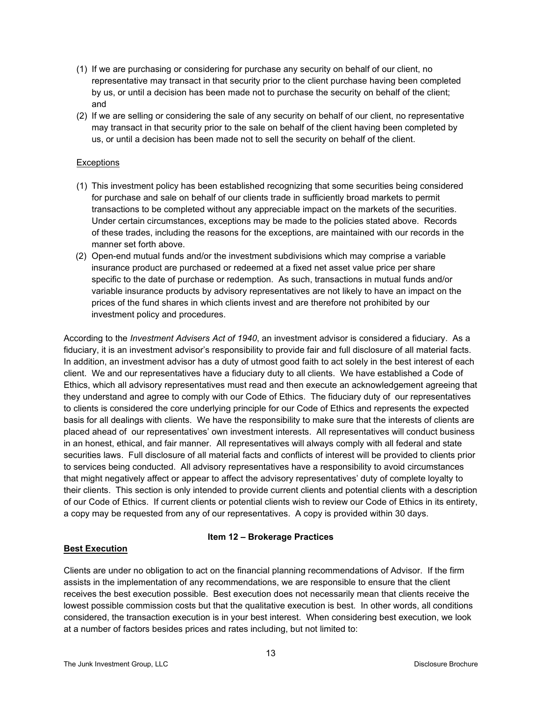- (1) If we are purchasing or considering for purchase any security on behalf of our client, no representative may transact in that security prior to the client purchase having been completed by us, or until a decision has been made not to purchase the security on behalf of the client; and
- (2) If we are selling or considering the sale of any security on behalf of our client, no representative may transact in that security prior to the sale on behalf of the client having been completed by us, or until a decision has been made not to sell the security on behalf of the client.

## **Exceptions**

- (1) This investment policy has been established recognizing that some securities being considered for purchase and sale on behalf of our clients trade in sufficiently broad markets to permit transactions to be completed without any appreciable impact on the markets of the securities. Under certain circumstances, exceptions may be made to the policies stated above. Records of these trades, including the reasons for the exceptions, are maintained with our records in the manner set forth above.
- (2) Open-end mutual funds and/or the investment subdivisions which may comprise a variable insurance product are purchased or redeemed at a fixed net asset value price per share specific to the date of purchase or redemption. As such, transactions in mutual funds and/or variable insurance products by advisory representatives are not likely to have an impact on the prices of the fund shares in which clients invest and are therefore not prohibited by our investment policy and procedures.

According to the *Investment Advisers Act of 1940*, an investment advisor is considered a fiduciary. As a fiduciary, it is an investment advisor's responsibility to provide fair and full disclosure of all material facts. In addition, an investment advisor has a duty of utmost good faith to act solely in the best interest of each client. We and our representatives have a fiduciary duty to all clients. We have established a Code of Ethics, which all advisory representatives must read and then execute an acknowledgement agreeing that they understand and agree to comply with our Code of Ethics. The fiduciary duty of our representatives to clients is considered the core underlying principle for our Code of Ethics and represents the expected basis for all dealings with clients. We have the responsibility to make sure that the interests of clients are placed ahead of our representatives' own investment interests. All representatives will conduct business in an honest, ethical, and fair manner. All representatives will always comply with all federal and state securities laws. Full disclosure of all material facts and conflicts of interest will be provided to clients prior to services being conducted. All advisory representatives have a responsibility to avoid circumstances that might negatively affect or appear to affect the advisory representatives' duty of complete loyalty to their clients. This section is only intended to provide current clients and potential clients with a description of our Code of Ethics. If current clients or potential clients wish to review our Code of Ethics in its entirety, a copy may be requested from any of our representatives. A copy is provided within 30 days.

## **Item 12 – Brokerage Practices**

## <span id="page-12-1"></span><span id="page-12-0"></span>**Best Execution**

Clients are under no obligation to act on the financial planning recommendations of Advisor. If the firm assists in the implementation of any recommendations, we are responsible to ensure that the client receives the best execution possible. Best execution does not necessarily mean that clients receive the lowest possible commission costs but that the qualitative execution is best. In other words, all conditions considered, the transaction execution is in your best interest. When considering best execution, we look at a number of factors besides prices and rates including, but not limited to: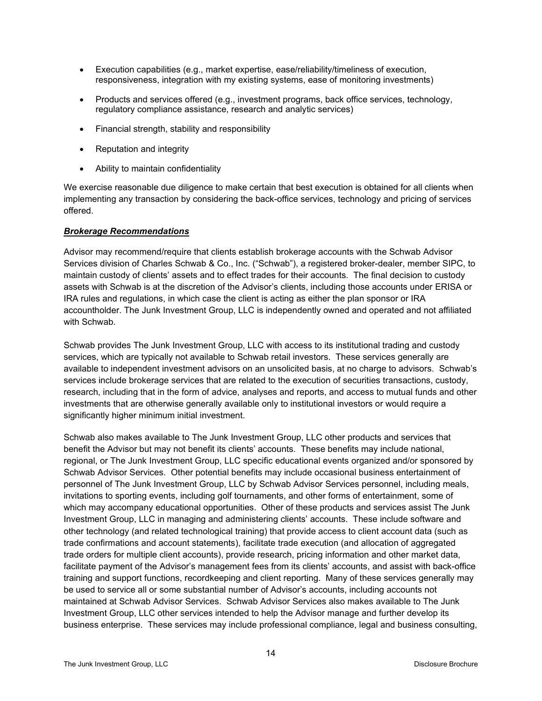- Execution capabilities (e.g., market expertise, ease/reliability/timeliness of execution, responsiveness, integration with my existing systems, ease of monitoring investments)
- Products and services offered (e.g., investment programs, back office services, technology, regulatory compliance assistance, research and analytic services)
- Financial strength, stability and responsibility
- Reputation and integrity
- Ability to maintain confidentiality

We exercise reasonable due diligence to make certain that best execution is obtained for all clients when implementing any transaction by considering the back-office services, technology and pricing of services offered.

#### *Brokerage Recommendations*

Advisor may recommend/require that clients establish brokerage accounts with the Schwab Advisor Services division of Charles Schwab & Co., Inc. ("Schwab"), a registered broker-dealer, member SIPC, to maintain custody of clients' assets and to effect trades for their accounts. The final decision to custody assets with Schwab is at the discretion of the Advisor's clients, including those accounts under ERISA or IRA rules and regulations, in which case the client is acting as either the plan sponsor or IRA accountholder. The Junk Investment Group, LLC is independently owned and operated and not affiliated with Schwab.

Schwab provides The Junk Investment Group, LLC with access to its institutional trading and custody services, which are typically not available to Schwab retail investors. These services generally are available to independent investment advisors on an unsolicited basis, at no charge to advisors. Schwab's services include brokerage services that are related to the execution of securities transactions, custody, research, including that in the form of advice, analyses and reports, and access to mutual funds and other investments that are otherwise generally available only to institutional investors or would require a significantly higher minimum initial investment.

Schwab also makes available to The Junk Investment Group, LLC other products and services that benefit the Advisor but may not benefit its clients' accounts. These benefits may include national, regional, or The Junk Investment Group, LLC specific educational events organized and/or sponsored by Schwab Advisor Services. Other potential benefits may include occasional business entertainment of personnel of The Junk Investment Group, LLC by Schwab Advisor Services personnel, including meals, invitations to sporting events, including golf tournaments, and other forms of entertainment, some of which may accompany educational opportunities. Other of these products and services assist The Junk Investment Group, LLC in managing and administering clients' accounts. These include software and other technology (and related technological training) that provide access to client account data (such as trade confirmations and account statements), facilitate trade execution (and allocation of aggregated trade orders for multiple client accounts), provide research, pricing information and other market data, facilitate payment of the Advisor's management fees from its clients' accounts, and assist with back-office training and support functions, recordkeeping and client reporting. Many of these services generally may be used to service all or some substantial number of Advisor's accounts, including accounts not maintained at Schwab Advisor Services. Schwab Advisor Services also makes available to The Junk Investment Group, LLC other services intended to help the Advisor manage and further develop its business enterprise. These services may include professional compliance, legal and business consulting,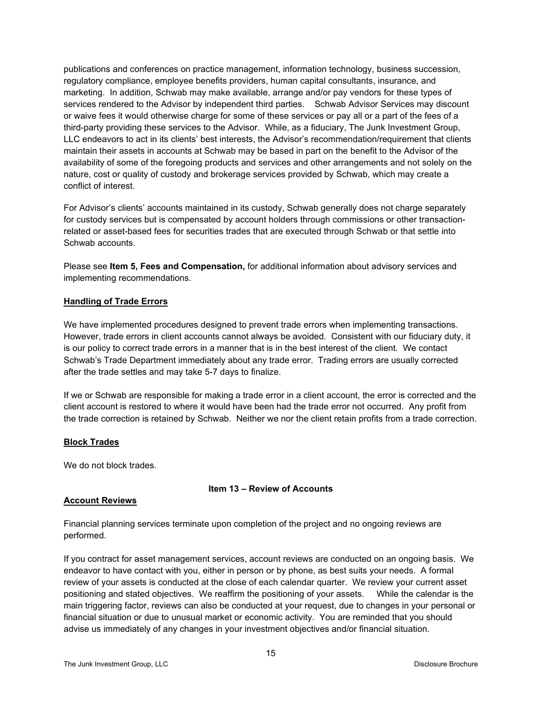publications and conferences on practice management, information technology, business succession, regulatory compliance, employee benefits providers, human capital consultants, insurance, and marketing. In addition, Schwab may make available, arrange and/or pay vendors for these types of services rendered to the Advisor by independent third parties. Schwab Advisor Services may discount or waive fees it would otherwise charge for some of these services or pay all or a part of the fees of a third-party providing these services to the Advisor. While, as a fiduciary, The Junk Investment Group, LLC endeavors to act in its clients' best interests, the Advisor's recommendation/requirement that clients maintain their assets in accounts at Schwab may be based in part on the benefit to the Advisor of the availability of some of the foregoing products and services and other arrangements and not solely on the nature, cost or quality of custody and brokerage services provided by Schwab, which may create a conflict of interest.

For Advisor's clients' accounts maintained in its custody, Schwab generally does not charge separately for custody services but is compensated by account holders through commissions or other transactionrelated or asset-based fees for securities trades that are executed through Schwab or that settle into Schwab accounts.

Please see **Item 5, Fees and Compensation,** for additional information about advisory services and implementing recommendations.

#### <span id="page-14-0"></span>**Handling of Trade Errors**

We have implemented procedures designed to prevent trade errors when implementing transactions. However, trade errors in client accounts cannot always be avoided. Consistent with our fiduciary duty, it is our policy to correct trade errors in a manner that is in the best interest of the client. We contact Schwab's Trade Department immediately about any trade error. Trading errors are usually corrected after the trade settles and may take 5-7 days to finalize.

If we or Schwab are responsible for making a trade error in a client account, the error is corrected and the client account is restored to where it would have been had the trade error not occurred. Any profit from the trade correction is retained by Schwab. Neither we nor the client retain profits from a trade correction.

#### <span id="page-14-1"></span>**Block Trades**

We do not block trades.

## **Item 13 – Review of Accounts**

## <span id="page-14-2"></span>**Account Reviews**

Financial planning services terminate upon completion of the project and no ongoing reviews are performed.

If you contract for asset management services, account reviews are conducted on an ongoing basis. We endeavor to have contact with you, either in person or by phone, as best suits your needs. A formal review of your assets is conducted at the close of each calendar quarter. We review your current asset positioning and stated objectives. We reaffirm the positioning of your assets. While the calendar is the main triggering factor, reviews can also be conducted at your request, due to changes in your personal or financial situation or due to unusual market or economic activity. You are reminded that you should advise us immediately of any changes in your investment objectives and/or financial situation.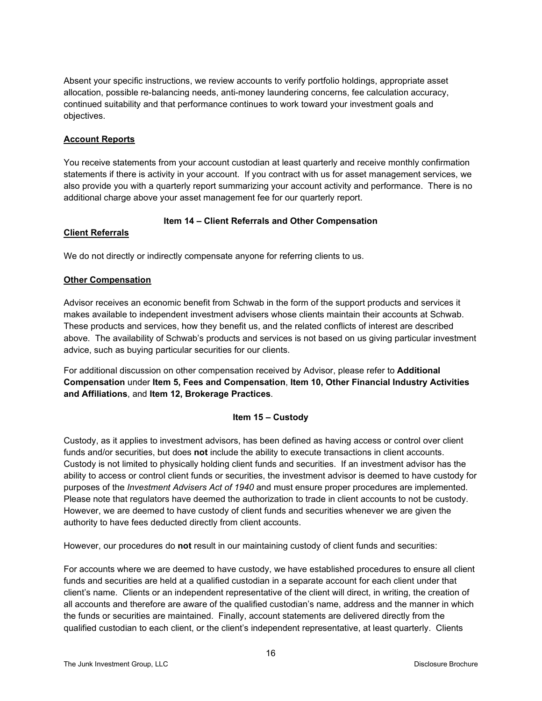Absent your specific instructions, we review accounts to verify portfolio holdings, appropriate asset allocation, possible re-balancing needs, anti-money laundering concerns, fee calculation accuracy, continued suitability and that performance continues to work toward your investment goals and objectives.

## **Account Reports**

You receive statements from your account custodian at least quarterly and receive monthly confirmation statements if there is activity in your account. If you contract with us for asset management services, we also provide you with a quarterly report summarizing your account activity and performance. There is no additional charge above your asset management fee for our quarterly report.

# **Item 14 – Client Referrals and Other Compensation**

## <span id="page-15-1"></span><span id="page-15-0"></span>**Client Referrals**

We do not directly or indirectly compensate anyone for referring clients to us.

# <span id="page-15-2"></span>**Other Compensation**

Advisor receives an economic benefit from Schwab in the form of the support products and services it makes available to independent investment advisers whose clients maintain their accounts at Schwab. These products and services, how they benefit us, and the related conflicts of interest are described above. The availability of Schwab's products and services is not based on us giving particular investment advice, such as buying particular securities for our clients.

For additional discussion on other compensation received by Advisor, please refer to **Additional Compensation** under **Item 5, Fees and Compensation**, **Item 10, Other Financial Industry Activities and Affiliations**, and **Item 12, Brokerage Practices**.

## **Item 15 – Custody**

<span id="page-15-3"></span>Custody, as it applies to investment advisors, has been defined as having access or control over client funds and/or securities, but does **not** include the ability to execute transactions in client accounts. Custody is not limited to physically holding client funds and securities. If an investment advisor has the ability to access or control client funds or securities, the investment advisor is deemed to have custody for purposes of the *Investment Advisers Act of 1940* and must ensure proper procedures are implemented. Please note that regulators have deemed the authorization to trade in client accounts to not be custody. However, we are deemed to have custody of client funds and securities whenever we are given the authority to have fees deducted directly from client accounts.

However, our procedures do **not** result in our maintaining custody of client funds and securities:

For accounts where we are deemed to have custody, we have established procedures to ensure all client funds and securities are held at a qualified custodian in a separate account for each client under that client's name. Clients or an independent representative of the client will direct, in writing, the creation of all accounts and therefore are aware of the qualified custodian's name, address and the manner in which the funds or securities are maintained. Finally, account statements are delivered directly from the qualified custodian to each client, or the client's independent representative, at least quarterly. Clients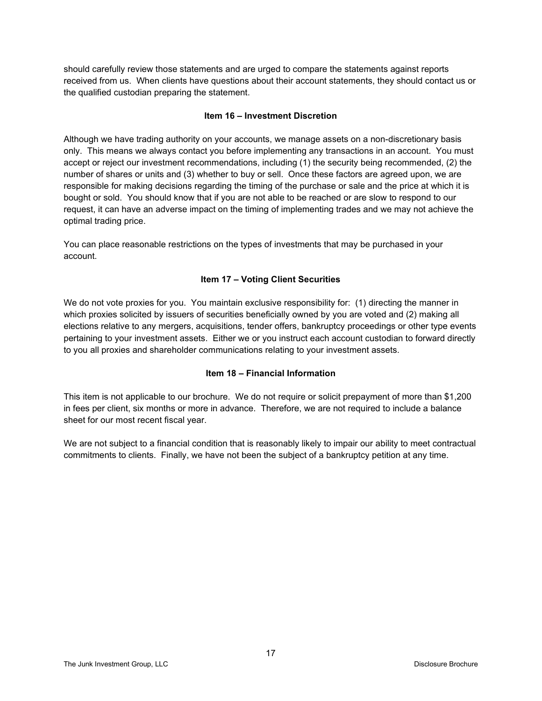should carefully review those statements and are urged to compare the statements against reports received from us. When clients have questions about their account statements, they should contact us or the qualified custodian preparing the statement.

#### **Item 16 – Investment Discretion**

<span id="page-16-0"></span>Although we have trading authority on your accounts, we manage assets on a non-discretionary basis only. This means we always contact you before implementing any transactions in an account. You must accept or reject our investment recommendations, including (1) the security being recommended, (2) the number of shares or units and (3) whether to buy or sell. Once these factors are agreed upon, we are responsible for making decisions regarding the timing of the purchase or sale and the price at which it is bought or sold. You should know that if you are not able to be reached or are slow to respond to our request, it can have an adverse impact on the timing of implementing trades and we may not achieve the optimal trading price.

You can place reasonable restrictions on the types of investments that may be purchased in your account.

## **Item 17 – Voting Client Securities**

<span id="page-16-1"></span>We do not vote proxies for you. You maintain exclusive responsibility for: (1) directing the manner in which proxies solicited by issuers of securities beneficially owned by you are voted and (2) making all elections relative to any mergers, acquisitions, tender offers, bankruptcy proceedings or other type events pertaining to your investment assets. Either we or you instruct each account custodian to forward directly to you all proxies and shareholder communications relating to your investment assets.

## **Item 18 – Financial Information**

<span id="page-16-2"></span>This item is not applicable to our brochure. We do not require or solicit prepayment of more than \$1,200 in fees per client, six months or more in advance. Therefore, we are not required to include a balance sheet for our most recent fiscal year.

<span id="page-16-3"></span>We are not subject to a financial condition that is reasonably likely to impair our ability to meet contractual commitments to clients. Finally, we have not been the subject of a bankruptcy petition at any time.